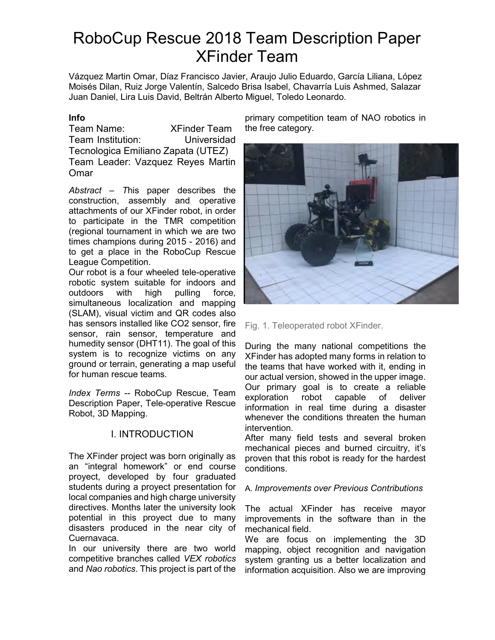# RoboCup Rescue 2018 Team Description Paper XFinder Team

Vázquez Martin Omar, Díaz Francisco Javier, Araujo Julio Eduardo, García Liliana, López Moisés Dilan, Ruiz Jorge Valentín, Salcedo Brisa Isabel, Chavarría Luis Ashmed, Salazar Juan Daniel, Lira Luis David, Beltrán Alberto Miguel, Toledo Leonardo.

#### **Info**

Team Name: XFinder Team Team Institution: Universidad Tecnologica Emiliano Zapata (UTEZ) Team Leader: Vazquez Reyes Martin Omar

*Abstract – T*his paper describes the construction, assembly and operative attachments of our XFinder robot, in order to participate in the TMR competition (regional tournament in which we are two times champions during 2015 - 2016) and to get a place in the RoboCup Rescue League Competition.

Our robot is a four wheeled tele-operative robotic system suitable for indoors and outdoors with high pulling force, simultaneous localization and mapping (SLAM), visual victim and QR codes also has sensors installed like CO2 sensor, fire sensor, rain sensor, temperature and humedity sensor (DHT11). The goal of this system is to recognize victims on any ground or terrain, generating a map useful for human rescue teams.

*Index Terms --* RoboCup Rescue, Team Description Paper, Tele-operative Rescue Robot, 3D Mapping.

## I. INTRODUCTION

The XFinder project was born originally as an "integral homework" or end course proyect, developed by four graduated students during a proyect presentation for local companies and high charge university directives. Months later the university look potential in this proyect due to many disasters produced in the near city of Cuernavaca.

In our university there are two world competitive branches called *VEX robotics* and *Nao robotics*. This project is part of the primary competition team of NAO robotics in the free category.



Fig. 1. Teleoperated robot XFinder.

During the many national competitions the XFinder has adopted many forms in relation to the teams that have worked with it, ending in our actual version, showed in the upper image. Our primary goal is to create a reliable exploration robot capable of deliver information in real time during a disaster whenever the conditions threaten the human intervention.

After many field tests and several broken mechanical pieces and burned circuitry, it's proven that this robot is ready for the hardest conditions.

#### A. *Improvements over Previous Contributions*

The actual XFinder has receive mayor improvements in the software than in the mechanical field.

We are focus on implementing the 3D mapping, object recognition and navigation system granting us a better localization and information acquisition. Also we are improving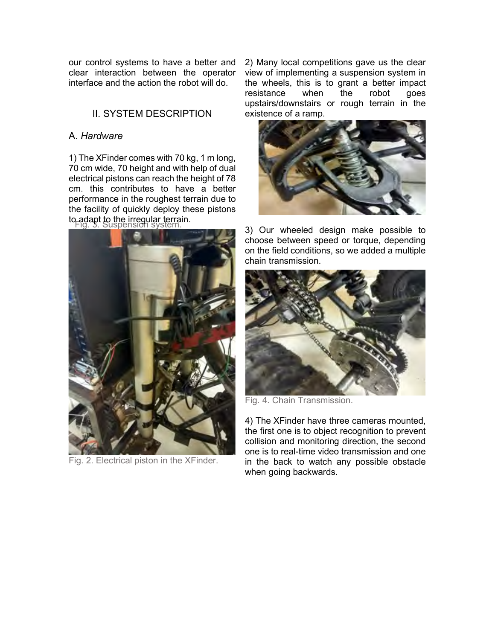our control systems to have a better and clear interaction between the operator interface and the action the robot will do.

## II. SYSTEM DESCRIPTION

#### A. *Hardware*

Fig. 3. Suspension system. to adapt to the irregular terrain. 1) The XFinder comes with 70 kg, 1 m long, 70 cm wide, 70 height and with help of dual electrical pistons can reach the height of 78 cm. this contributes to have a better performance in the roughest terrain due to the facility of quickly deploy these pistons



Fig. 2. Electrical piston in the XFinder.

2) Many local competitions gave us the clear view of implementing a suspension system in the wheels, this is to grant a better impact resistance when the robot goes upstairs/downstairs or rough terrain in the existence of a ramp.



3) Our wheeled design make possible to choose between speed or torque, depending on the field conditions, so we added a multiple chain transmission.



Fig. 4. Chain Transmission.

4) The XFinder have three cameras mounted, the first one is to object recognition to prevent collision and monitoring direction, the second one is to real-time video transmission and one in the back to watch any possible obstacle when going backwards.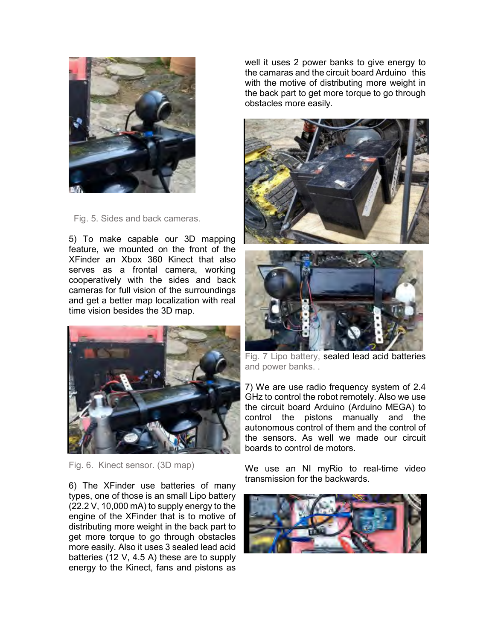

Fig. 5. Sides and back cameras.

5) To make capable our 3D mapping feature, we mounted on the front of the XFinder an Xbox 360 Kinect that also serves as a frontal camera, working cooperatively with the sides and back cameras for full vision of the surroundings and get a better map localization with real time vision besides the 3D map.



Fig. 6. Kinect sensor. (3D map)

6) The XFinder use batteries of many types, one of those is an small Lipo battery (22.2 V, 10,000 mA) to supply energy to the engine of the XFinder that is to motive of distributing more weight in the back part to get more torque to go through obstacles more easily. Also it uses 3 sealed lead acid batteries (12 V, 4.5 A) these are to supply energy to the Kinect, fans and pistons as well it uses 2 power banks to give energy to the camaras and the circuit board Arduino this with the motive of distributing more weight in the back part to get more torque to go through obstacles more easily.





Fig. 7 Lipo battery, sealed lead acid batteries and power banks. .

7) We are use radio frequency system of 2.4 GHz to control the robot remotely. Also we use the circuit board Arduino (Arduino MEGA) to control the pistons manually and the autonomous control of them and the control of the sensors. As well we made our circuit boards to control de motors.

We use an NI myRio to real-time video transmission for the backwards.

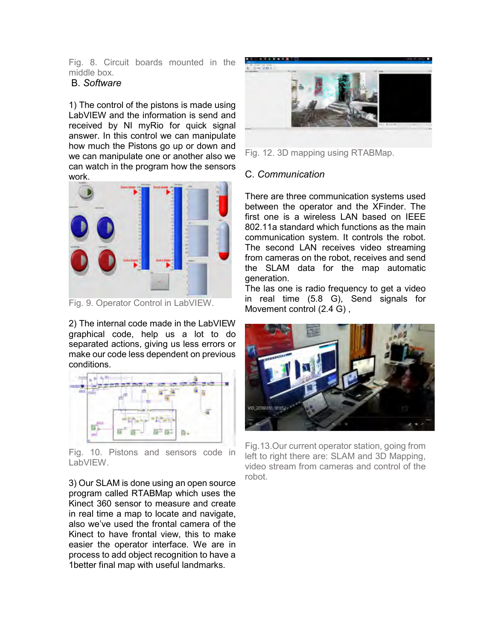Fig. 8. Circuit boards mounted in the middle box.

#### B. *Software*

1) The control of the pistons is made using LabVIEW and the information is send and received by NI myRio for quick signal answer. In this control we can manipulate how much the Pistons go up or down and we can manipulate one or another also we can watch in the program how the sensors work.



Fig. 9. Operator Control in LabVIEW.

2) The internal code made in the LabVIEW graphical code, help us a lot to do separated actions, giving us less errors or make our code less dependent on previous conditions.



Fig. 10. Pistons and sensors code in LabVIEW.

3) Our SLAM is done using an open source program called RTABMap which uses the Kinect 360 sensor to measure and create in real time a map to locate and navigate, also we've used the frontal camera of the Kinect to have frontal view, this to make easier the operator interface. We are in process to add object recognition to have a 1better final map with useful landmarks.



Fig. 12. 3D mapping using RTABMap.

#### C. *Communication*

There are three communication systems used between the operator and the XFinder. The first one is a wireless LAN based on IEEE 802.11a standard which functions as the main communication system. It controls the robot. The second LAN receives video streaming from cameras on the robot, receives and send the SLAM data for the map automatic generation.

The las one is radio frequency to get a video in real time (5.8 G), Send signals for Movement control (2.4 G) ,



Fig.13.Our current operator station, going from left to right there are: SLAM and 3D Mapping, video stream from cameras and control of the robot.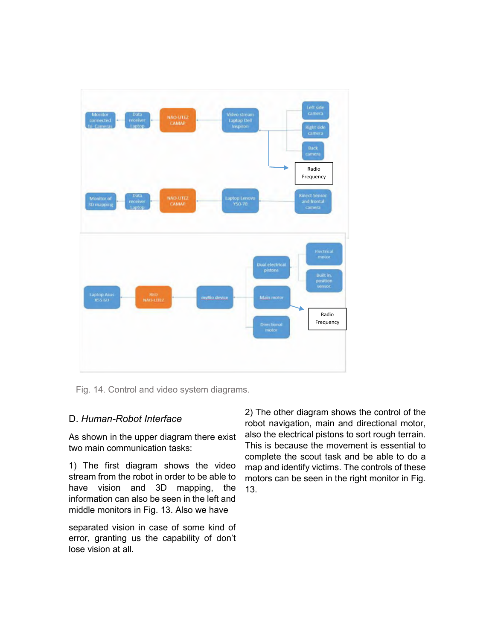

Fig. 14. Control and video system diagrams.

## D. *Human-Robot Interface*

As shown in the upper diagram there exist two main communication tasks:

1) The first diagram shows the video stream from the robot in order to be able to have vision and 3D mapping, the information can also be seen in the left and middle monitors in Fig. 13. Also we have

separated vision in case of some kind of error, granting us the capability of don't lose vision at all.

2) The other diagram shows the control of the robot navigation, main and directional motor, also the electrical pistons to sort rough terrain. This is because the movement is essential to complete the scout task and be able to do a map and identify victims. The controls of these motors can be seen in the right monitor in Fig. 13.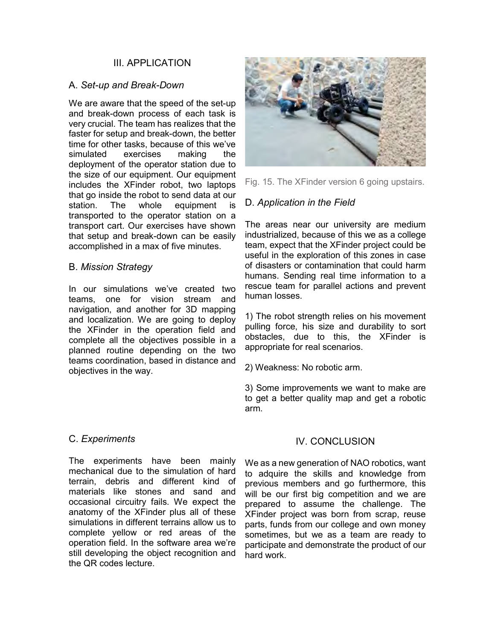### III. APPLICATION

#### A. *Set-up and Break-Down*

We are aware that the speed of the set-up and break-down process of each task is very crucial. The team has realizes that the faster for setup and break-down, the better time for other tasks, because of this we've simulated exercises making the deployment of the operator station due to the size of our equipment. Our equipment includes the XFinder robot, two laptops that go inside the robot to send data at our station. The whole equipment is transported to the operator station on a transport cart. Our exercises have shown that setup and break-down can be easily accomplished in a max of five minutes.

#### B. *Mission Strategy*

In our simulations we've created two teams, one for vision stream and navigation, and another for 3D mapping and localization. We are going to deploy the XFinder in the operation field and complete all the objectives possible in a planned routine depending on the two teams coordination, based in distance and objectives in the way.



Fig. 15. The XFinder version 6 going upstairs.

## D. *Application in the Field*

The areas near our university are medium industrialized, because of this we as a college team, expect that the XFinder project could be useful in the exploration of this zones in case of disasters or contamination that could harm humans. Sending real time information to a rescue team for parallel actions and prevent human losses.

1) The robot strength relies on his movement pulling force, his size and durability to sort obstacles, due to this, the XFinder is appropriate for real scenarios.

2) Weakness: No robotic arm.

3) Some improvements we want to make are to get a better quality map and get a robotic arm.

#### C. *Experiments*

The experiments have been mainly mechanical due to the simulation of hard terrain, debris and different kind of materials like stones and sand and occasional circuitry fails. We expect the anatomy of the XFinder plus all of these simulations in different terrains allow us to complete yellow or red areas of the operation field. In the software area we're still developing the object recognition and the QR codes lecture.

## IV. CONCLUSION

We as a new generation of NAO robotics, want to adquire the skills and knowledge from previous members and go furthermore, this will be our first big competition and we are prepared to assume the challenge. The XFinder project was born from scrap, reuse parts, funds from our college and own money sometimes, but we as a team are ready to participate and demonstrate the product of our hard work.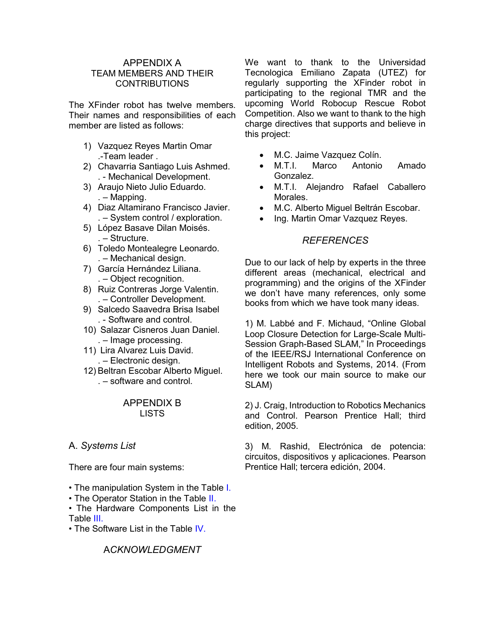#### APPENDIX A TEAM MEMBERS AND THEIR CONTRIBUTIONS

The XFinder robot has twelve members. Their names and responsibilities of each member are listed as follows:

- 1) Vazquez Reyes Martin Omar .-Team leader .
- 2) Chavarria Santiago Luis Ashmed. . - Mechanical Development.
- 3) Araujo Nieto Julio Eduardo. . – Mapping.
- 4) Diaz Altamirano Francisco Javier. . – System control / exploration.
- 5) López Basave Dilan Moisés. . – Structure.
- 6) Toledo Montealegre Leonardo. . – Mechanical design.
- 7) García Hernández Liliana. . – Object recognition.
- 8) Ruiz Contreras Jorge Valentin. . – Controller Development.
- 9) Salcedo Saavedra Brisa Isabel . - Software and control.
- 10) Salazar Cisneros Juan Daniel. . – Image processing.
- 11) Lira Alvarez Luis David. . – Electronic design.
- 12) Beltran Escobar Alberto Miguel. . – software and control.

#### APPENDIX B LISTS

# A. *Systems List*

There are four main systems:

- The manipulation System in the Table I.
- The Operator Station in the Table II.
- The Hardware Components List in the Table III.
- The Software List in the Table IV.

## A*CKNOWLEDGMENT*

We want to thank to the Universidad Tecnologica Emiliano Zapata (UTEZ) for regularly supporting the XFinder robot in participating to the regional TMR and the upcoming World Robocup Rescue Robot Competition. Also we want to thank to the high charge directives that supports and believe in this project:

- M.C. Jaime Vazquez Colín.
- M.T.I. Marco Antonio Amado Gonzalez.
- M.T.I. Alejandro Rafael Caballero Morales.
- M.C. Alberto Miguel Beltrán Escobar.
- Ing. Martin Omar Vazquez Reyes.

## *REFERENCES*

Due to our lack of help by experts in the three different areas (mechanical, electrical and programming) and the origins of the XFinder we don't have many references, only some books from which we have took many ideas.

1) M. Labbé and F. Michaud, "Online Global Loop Closure Detection for Large-Scale Multi-Session Graph-Based SLAM," In Proceedings of the IEEE/RSJ International Conference on Intelligent Robots and Systems, 2014. (From here we took our main source to make our SLAM)

2) J. Craig, Introduction to Robotics Mechanics and Control. Pearson Prentice Hall; third edition, 2005.

3) M. Rashid, Electrónica de potencia: circuitos, dispositivos y aplicaciones. Pearson Prentice Hall; tercera edición, 2004.